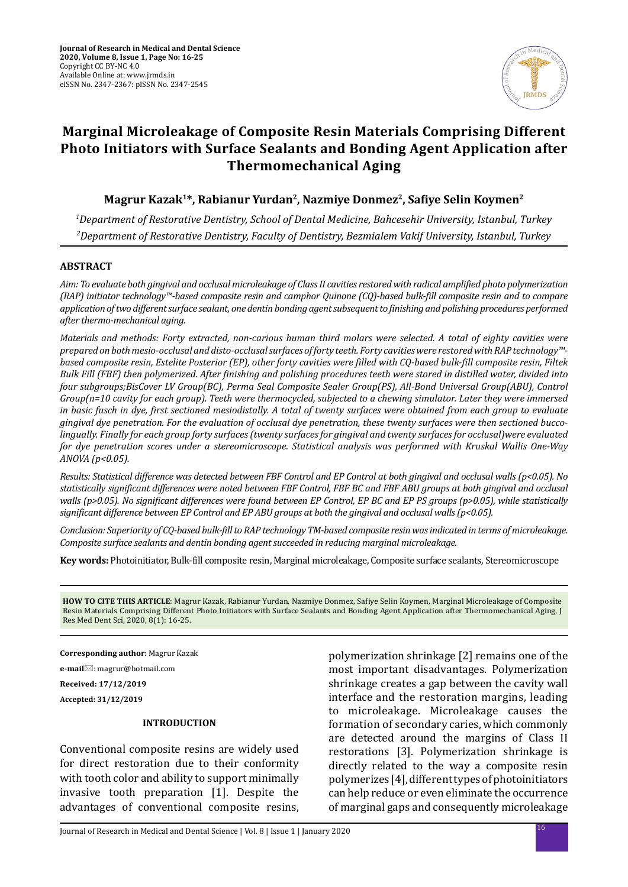

# **Marginal Microleakage of Composite Resin Materials Comprising Different Photo Initiators with Surface Sealants and Bonding Agent Application after Thermomechanical Aging**

**Magrur Kazak1\*, Rabianur Yurdan2, Nazmiye Donmez2, Safiye Selin Koymen<sup>2</sup>**

*1 Department of Restorative Dentistry, School of Dental Medicine, Bahcesehir University, Istanbul, Turkey 2 Department of Restorative Dentistry, Faculty of Dentistry, Bezmialem Vakif University, Istanbul, Turkey*

## **ABSTRACT**

*Aim: To evaluate both gingival and occlusal microleakage of Class II cavities restored with radical amplified photo polymerization (RAP) initiator technology™-based composite resin and camphor Quinone (CQ)-based bulk-fill composite resin and to compare application of two different surface sealant, one dentin bonding agent subsequent to finishing and polishing procedures performed after thermo-mechanical aging.* 

*Materials and methods: Forty extracted, non-carious human third molars were selected. A total of eighty cavities were prepared on both mesio-occlusal and disto-occlusal surfaces of forty teeth. Forty cavities were restored with RAP technology™ based composite resin, Estelite Posterior (EP), other forty cavities were filled with CQ-based bulk-fill composite resin, Filtek Bulk Fill (FBF) then polymerized. After finishing and polishing procedures teeth were stored in distilled water, divided into four subgroups;BisCover LV Group(BC), Perma Seal Composite Sealer Group(PS), All-Bond Universal Group(ABU), Control Group(n=10 cavity for each group). Teeth were thermocycled, subjected to a chewing simulator. Later they were immersed in basic fusch in dye, first sectioned mesiodistally. A total of twenty surfaces were obtained from each group to evaluate gingival dye penetration. For the evaluation of occlusal dye penetration, these twenty surfaces were then sectioned buccolingually. Finally for each group forty surfaces (twenty surfaces for gingival and twenty surfaces for occlusal)were evaluated for dye penetration scores under a stereomicroscope. Statistical analysis was performed with Kruskal Wallis One-Way ANOVA (p<0.05).*

*Results: Statistical difference was detected between FBF Control and EP Control at both gingival and occlusal walls (p<0.05). No statistically significant differences were noted between FBF Control, FBF BC and FBF ABU groups at both gingival and occlusal walls (p>0.05). No significant differences were found between EP Control, EP BC and EP PS groups (p>0.05), while statistically significant difference between EP Control and EP ABU groups at both the gingival and occlusal walls (p<0.05).* 

*Conclusion: Superiority of CQ-based bulk-fill to RAP technology TM-based composite resin was indicated in terms of microleakage. Composite surface sealants and dentin bonding agent succeeded in reducing marginal microleakage.*

**Key words:** Photoinitiator, Bulk-fill composite resin, Marginal microleakage, Composite surface sealants, Stereomicroscope

**HOW TO CITE THIS ARTICLE**: Magrur Kazak, Rabianur Yurdan, Nazmiye Donmez, Safiye Selin Koymen, Marginal Microleakage of Composite Resin Materials Comprising Different Photo Initiators with Surface Sealants and Bonding Agent Application after Thermomechanical Aging, J Res Med Dent Sci, 2020, 8(1): 16-25.

**Corresponding author**: Magrur Kazak

**e-mail**: magrur@hotmail.com

**Received: 17/12/2019**

**Accepted: 31/12/2019**

### **INTRODUCTION**

Conventional composite resins are widely used for direct restoration due to their conformity with tooth color and ability to support minimally invasive tooth preparation [1]. Despite the advantages of conventional composite resins, polymerization shrinkage [2] remains one of the most important disadvantages. Polymerization shrinkage creates a gap between the cavity wall interface and the restoration margins, leading to microleakage. Microleakage causes the formation of secondary caries, which commonly are detected around the margins of Class II restorations [3]. Polymerization shrinkage is directly related to the way a composite resin polymerizes [4], different types of photoinitiators can help reduce or even eliminate the occurrence of marginal gaps and consequently microleakage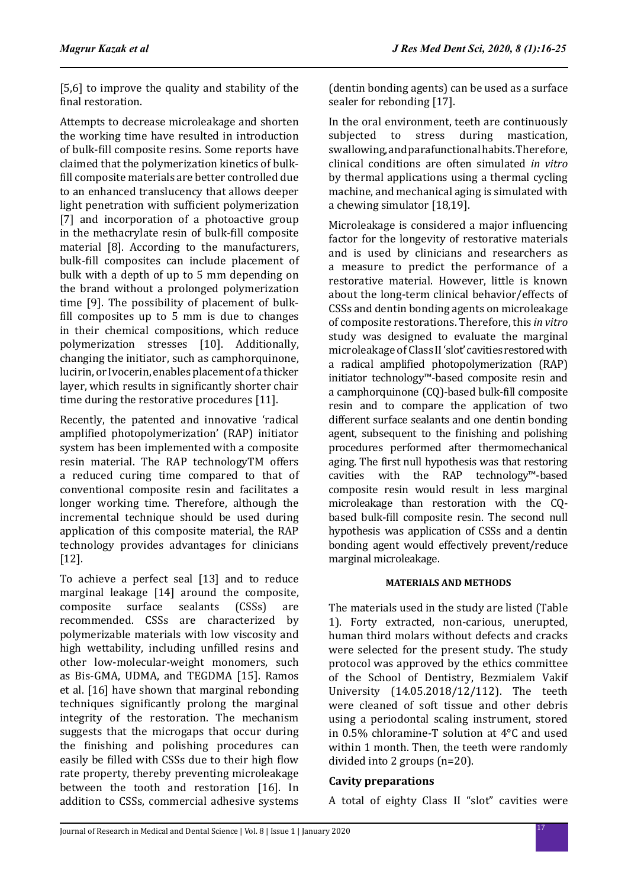[5.6] to improve the quality and stability of the final restoration.

Attempts to decrease microleakage and shorten the working time have resulted in introduction of bulk-fill composite resins. Some reports have claimed that the polymerization kinetics of bulkfill composite materials are better controlled due to an enhanced translucency that allows deeper light penetration with sufficient polymerization [7] and incorporation of a photoactive group in the methacrylate resin of bulk-fill composite material [8]. According to the manufacturers, bulk-fill composites can include placement of bulk with a depth of up to 5 mm depending on the brand without a prolonged polymerization time [9]. The possibility of placement of bulkfill composites up to 5 mm is due to changes in their chemical compositions, which reduce polymerization stresses [10]. Additionally, changing the initiator, such as camphorquinone, lucirin, or Ivocerin, enables placement of a thicker layer, which results in significantly shorter chair time during the restorative procedures [11].

Recently, the patented and innovative 'radical amplified photopolymerization' (RAP) initiator system has been implemented with a composite resin material. The RAP technologyTM offers a reduced curing time compared to that of conventional composite resin and facilitates a longer working time. Therefore, although the incremental technique should be used during application of this composite material, the RAP technology provides advantages for clinicians [12].

To achieve a perfect seal [13] and to reduce marginal leakage [14] around the composite,<br>composite surface sealants (CSSs) are composite surface sealants (CSSs) are recommended. CSSs are characterized by polymerizable materials with low viscosity and high wettability, including unfilled resins and other low-molecular-weight monomers, such as Bis-GMA, UDMA, and TEGDMA [15]. Ramos et al. [16] have shown that marginal rebonding techniques significantly prolong the marginal integrity of the restoration. The mechanism suggests that the microgaps that occur during the finishing and polishing procedures can easily be filled with CSSs due to their high flow rate property, thereby preventing microleakage between the tooth and restoration [16]. In addition to CSSs, commercial adhesive systems (dentin bonding agents) can be used as a surface sealer for rebonding [17].

In the oral environment, teeth are continuously subjected to stress during mastication, swallowing, and parafunctional habits. Therefore, clinical conditions are often simulated *in vitro* by thermal applications using a thermal cycling machine, and mechanical aging is simulated with a chewing simulator [18,19].

Microleakage is considered a major influencing factor for the longevity of restorative materials and is used by clinicians and researchers as a measure to predict the performance of a restorative material. However, little is known about the long-term clinical behavior/effects of CSSs and dentin bonding agents on microleakage of composite restorations. Therefore, this *in vitro* study was designed to evaluate the marginal microleakage of Class II 'slot' cavities restored with a radical amplified photopolymerization (RAP) initiator technology™-based composite resin and a camphorquinone (CQ)-based bulk-fill composite resin and to compare the application of two different surface sealants and one dentin bonding agent, subsequent to the finishing and polishing procedures performed after thermomechanical aging. The first null hypothesis was that restoring cavities with the RAP technology™-based composite resin would result in less marginal microleakage than restoration with the CQbased bulk-fill composite resin. The second null hypothesis was application of CSSs and a dentin bonding agent would effectively prevent/reduce marginal microleakage.

## **MATERIALS AND METHODS**

The materials used in the study are listed (Table 1). Forty extracted, non-carious, unerupted, human third molars without defects and cracks were selected for the present study. The study protocol was approved by the ethics committee of the School of Dentistry, Bezmialem Vakif University (14.05.2018/12/112). The teeth were cleaned of soft tissue and other debris using a periodontal scaling instrument, stored in 0.5% chloramine-T solution at 4°C and used within 1 month. Then, the teeth were randomly divided into 2 groups (n=20).

## **Cavity preparations**

A total of eighty Class II "slot" cavities were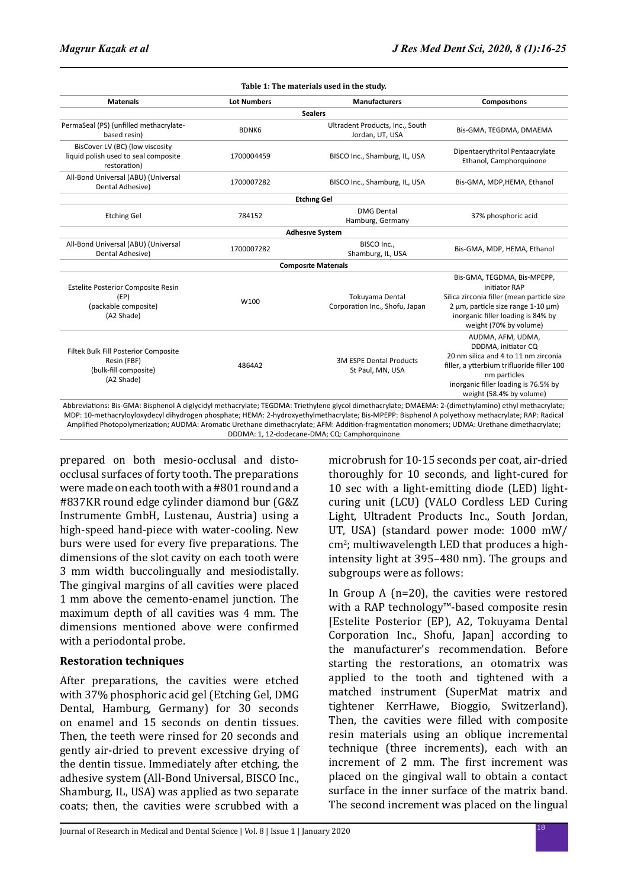| <b>Materials</b>                                                                           | <b>Lot Numbers</b> | <b>Manufacturers</b>                               | Compositions                                                                                                                                                                                                       |  |  |
|--------------------------------------------------------------------------------------------|--------------------|----------------------------------------------------|--------------------------------------------------------------------------------------------------------------------------------------------------------------------------------------------------------------------|--|--|
|                                                                                            |                    | <b>Sealers</b>                                     |                                                                                                                                                                                                                    |  |  |
| PermaSeal (PS) (unfilled methacrylate-<br>based resin)                                     | BDNK6              | Ultradent Products, Inc., South<br>Jordan, UT, USA | Bis-GMA, TEGDMA, DMAEMA                                                                                                                                                                                            |  |  |
| BisCover LV (BC) (low viscosity<br>liquid polish used to seal composite<br>restoration)    | 1700004459         | BISCO Inc., Shamburg, IL, USA                      | Dipentaerythritol Pentaacrylate<br>Ethanol, Camphorquinone                                                                                                                                                         |  |  |
| All-Bond Universal (ABU) (Universal<br>Dental Adhesive)                                    | 1700007282         | BISCO Inc., Shamburg, IL, USA                      | Bis-GMA, MDP, HEMA, Ethanol                                                                                                                                                                                        |  |  |
|                                                                                            |                    | <b>Etching Gel</b>                                 |                                                                                                                                                                                                                    |  |  |
| <b>Etching Gel</b>                                                                         | 784152             | <b>DMG Dental</b><br>Hamburg, Germany              | 37% phosphoric acid                                                                                                                                                                                                |  |  |
|                                                                                            |                    | <b>Adhesive System</b>                             |                                                                                                                                                                                                                    |  |  |
| All-Bond Universal (ABU) (Universal<br>Dental Adhesive)                                    | 1700007282         | BISCO Inc<br>Shamburg, IL, USA                     | Bis-GMA, MDP, HEMA, Ethanol                                                                                                                                                                                        |  |  |
|                                                                                            |                    | <b>Composite Materials</b>                         |                                                                                                                                                                                                                    |  |  |
| <b>Estelite Posterior Composite Resin</b><br>(EP)<br>(packable composite)<br>(A2 Shade)    | W100               | Tokuyama Dental<br>Corporation Inc., Shofu, Japan  | Bis-GMA, TEGDMA, Bis-MPEPP,<br>initiator RAP<br>Silica zirconia filler (mean particle size<br>2 um, particle size range 1-10 um)<br>inorganic filler loading is 84% by<br>weight (70% by volume)                   |  |  |
| Filtek Bulk Fill Posterior Composite<br>Resin (FBF)<br>(bulk-fill composite)<br>(A2 Shade) | 4864A2             | <b>3M ESPE Dental Products</b><br>St Paul, MN, USA | AUDMA, AFM, UDMA,<br>DDDMA, initiator CQ<br>20 nm silica and 4 to 11 nm zirconia<br>filler, a ytterbium trifluoride filler 100<br>nm particles<br>inorganic filler loading is 76.5% by<br>weight (58.4% by volume) |  |  |

DDDMA: 1, 12-dodecane-DMA; CQ: Camphorquinone

prepared on both mesio-occlusal and distoocclusal surfaces of forty tooth. The preparations were made on each tooth with a #801 round and a #837KR round edge cylinder diamond bur (G&Z Instrumente GmbH, Lustenau, Austria) using a high-speed hand-piece with water-cooling. New burs were used for every five preparations. The dimensions of the slot cavity on each tooth were 3 mm width buccolingually and mesiodistally. The gingival margins of all cavities were placed 1 mm above the cemento-enamel junction. The maximum depth of all cavities was 4 mm. The dimensions mentioned above were confirmed with a periodontal probe.

## **Restoration techniques**

After preparations, the cavities were etched with 37% phosphoric acid gel (Etching Gel, DMG Dental, Hamburg, Germany) for 30 seconds on enamel and 15 seconds on dentin tissues. Then, the teeth were rinsed for 20 seconds and gently air-dried to prevent excessive drying of the dentin tissue. Immediately after etching, the adhesive system (All-Bond Universal, BISCO Inc., Shamburg, IL, USA) was applied as two separate coats; then, the cavities were scrubbed with a microbrush for 10-15 seconds per coat, air-dried thoroughly for 10 seconds, and light-cured for 10 sec with a light-emitting diode (LED) lightcuring unit (LCU) (VALO Cordless LED Curing Light, Ultradent Products Inc., South Jordan, UT, USA) (standard power mode: 1000 mW/ cm<sup>2</sup>; multiwavelength LED that produces a highintensity light at 395–480 nm). The groups and subgroups were as follows:

In Group A (n=20), the cavities were restored with a RAP technology™-based composite resin [Estelite Posterior (EP), A2, Tokuyama Dental Corporation Inc., Shofu, Japan] according to the manufacturer's recommendation. Before starting the restorations, an otomatrix was applied to the tooth and tightened with a matched instrument (SuperMat matrix and tightener KerrHawe, Bioggio, Switzerland). Then, the cavities were filled with composite resin materials using an oblique incremental technique (three increments), each with an increment of 2 mm. The first increment was placed on the gingival wall to obtain a contact surface in the inner surface of the matrix band. The second increment was placed on the lingual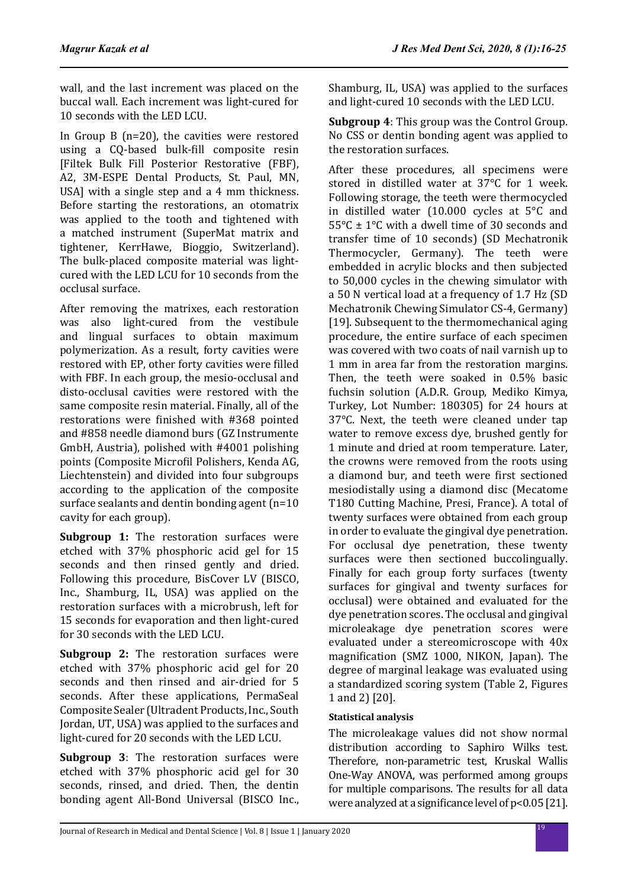wall, and the last increment was placed on the buccal wall. Each increment was light-cured for 10 seconds with the LED LCU.

In Group B (n=20), the cavities were restored using a CQ-based bulk-fill composite resin [Filtek Bulk Fill Posterior Restorative (FBF), A2, 3M-ESPE Dental Products, St. Paul, MN, USA] with a single step and a 4 mm thickness. Before starting the restorations, an otomatrix was applied to the tooth and tightened with a matched instrument (SuperMat matrix and tightener, KerrHawe, Bioggio, Switzerland). The bulk-placed composite material was lightcured with the LED LCU for 10 seconds from the occlusal surface.

After removing the matrixes, each restoration was also light-cured from the vestibule and lingual surfaces to obtain maximum polymerization. As a result, forty cavities were restored with EP, other forty cavities were filled with FBF. In each group, the mesio-occlusal and disto-occlusal cavities were restored with the same composite resin material. Finally, all of the restorations were finished with #368 pointed and #858 needle diamond burs (GZ Instrumente GmbH, Austria), polished with #4001 polishing points (Composite Microfil Polishers, Kenda AG, Liechtenstein) and divided into four subgroups according to the application of the composite surface sealants and dentin bonding agent (n=10 cavity for each group).

**Subgroup 1:** The restoration surfaces were etched with 37% phosphoric acid gel for 15 seconds and then rinsed gently and dried. Following this procedure, BisCover LV (BISCO, Inc., Shamburg, IL, USA) was applied on the restoration surfaces with a microbrush, left for 15 seconds for evaporation and then light-cured for 30 seconds with the LED LCU.

**Subgroup 2:** The restoration surfaces were etched with 37% phosphoric acid gel for 20 seconds and then rinsed and air-dried for 5 seconds. After these applications, PermaSeal Composite Sealer (Ultradent Products, Inc., South Jordan, UT, USA) was applied to the surfaces and light-cured for 20 seconds with the LED LCU.

**Subgroup 3**: The restoration surfaces were etched with 37% phosphoric acid gel for 30 seconds, rinsed, and dried. Then, the dentin bonding agent All-Bond Universal (BISCO Inc., Shamburg, IL, USA) was applied to the surfaces and light-cured 10 seconds with the LED LCU.

**Subgroup 4**: This group was the Control Group. No CSS or dentin bonding agent was applied to the restoration surfaces.

After these procedures, all specimens were stored in distilled water at 37°C for 1 week. Following storage, the teeth were thermocycled in distilled water (10.000 cycles at 5°C and 55°C ± 1°C with a dwell time of 30 seconds and transfer time of 10 seconds) (SD Mechatronik Thermocycler, Germany). The teeth were embedded in acrylic blocks and then subjected to 50,000 cycles in the chewing simulator with a 50 N vertical load at a frequency of 1.7 Hz (SD Mechatronik Chewing Simulator CS-4, Germany) [19]. Subsequent to the thermomechanical aging procedure, the entire surface of each specimen was covered with two coats of nail varnish up to 1 mm in area far from the restoration margins. Then, the teeth were soaked in 0.5% basic fuchsin solution (A.D.R. Group, Mediko Kimya, Turkey, Lot Number: 180305) for 24 hours at 37°C. Next, the teeth were cleaned under tap water to remove excess dye, brushed gently for 1 minute and dried at room temperature. Later, the crowns were removed from the roots using a diamond bur, and teeth were first sectioned mesiodistally using a diamond disc (Mecatome T180 Cutting Machine, Presi, France). A total of twenty surfaces were obtained from each group in order to evaluate the gingival dye penetration. For occlusal dye penetration, these twenty surfaces were then sectioned buccolingually. Finally for each group forty surfaces (twenty surfaces for gingival and twenty surfaces for occlusal) were obtained and evaluated for the dye penetration scores. The occlusal and gingival microleakage dye penetration scores were evaluated under a stereomicroscope with 40x magnification (SMZ 1000, NIKON, Japan). The degree of marginal leakage was evaluated using a standardized scoring system (Table 2, Figures 1 and 2) [20].

## **Statistical analysis**

The microleakage values did not show normal distribution according to Saphiro Wilks test. Therefore, non-parametric test, Kruskal Wallis One-Way ANOVA, was performed among groups for multiple comparisons. The results for all data were analyzed at a significance level of p<0.05 [21].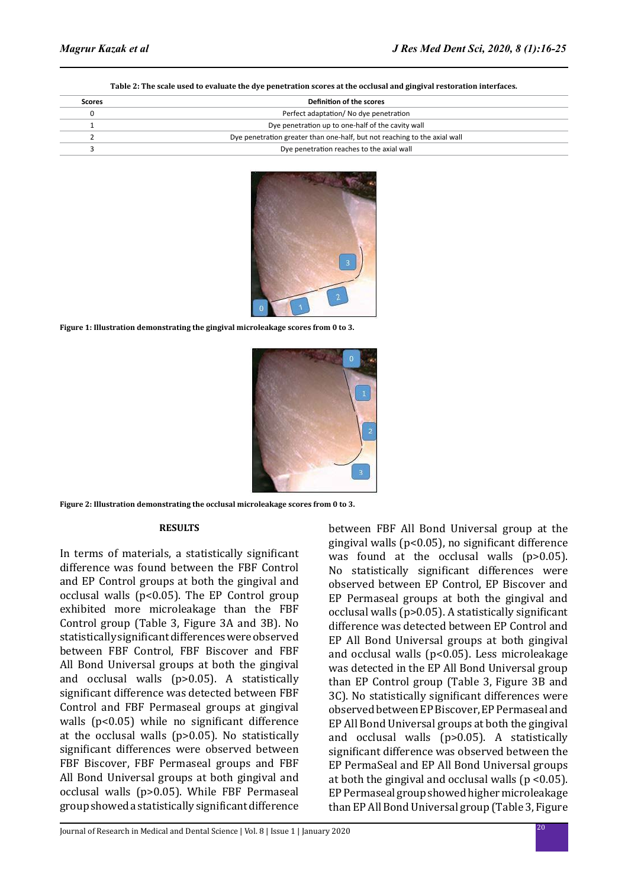#### **Table 2: The scale used to evaluate the dye penetration scores at the occlusal and gingival restoration interfaces.**

| Scores | Definition of the scores                                                  |  |  |  |  |  |  |
|--------|---------------------------------------------------------------------------|--|--|--|--|--|--|
|        | Perfect adaptation/No dye penetration                                     |  |  |  |  |  |  |
|        | Dye penetration up to one-half of the cavity wall                         |  |  |  |  |  |  |
|        | Dye penetration greater than one-half, but not reaching to the axial wall |  |  |  |  |  |  |
|        | Dye penetration reaches to the axial wall                                 |  |  |  |  |  |  |



**Figure 1: Illustration demonstrating the gingival microleakage scores from 0 to 3.**



**Figure 2: Illustration demonstrating the occlusal microleakage scores from 0 to 3.**

### **RESULTS**

In terms of materials, a statistically significant difference was found between the FBF Control and EP Control groups at both the gingival and occlusal walls ( $p<0.05$ ). The EP Control group exhibited more microleakage than the FBF Control group (Table 3, Figure 3A and 3B). No statistically significant differences were observed between FBF Control, FBF Biscover and FBF All Bond Universal groups at both the gingival and occlusal walls (p>0.05). A statistically significant difference was detected between FBF Control and FBF Permaseal groups at gingival walls (p<0.05) while no significant difference at the occlusal walls (p>0.05). No statistically significant differences were observed between FBF Biscover, FBF Permaseal groups and FBF All Bond Universal groups at both gingival and occlusal walls (p>0.05). While FBF Permaseal group showed a statistically significant difference

between FBF All Bond Universal group at the gingival walls (p<0.05), no significant difference was found at the occlusal walls (p>0.05). No statistically significant differences were observed between EP Control, EP Biscover and EP Permaseal groups at both the gingival and occlusal walls (p>0.05). A statistically significant difference was detected between EP Control and EP All Bond Universal groups at both gingival and occlusal walls (p<0.05). Less microleakage was detected in the EP All Bond Universal group than EP Control group (Table 3, Figure 3B and 3C). No statistically significant differences were observed between EP Biscover, EP Permaseal and EP All Bond Universal groups at both the gingival and occlusal walls (p>0.05). A statistically significant difference was observed between the EP PermaSeal and EP All Bond Universal groups at both the gingival and occlusal walls ( $p < 0.05$ ). EP Permaseal group showed higher microleakage than EP All Bond Universal group (Table 3, Figure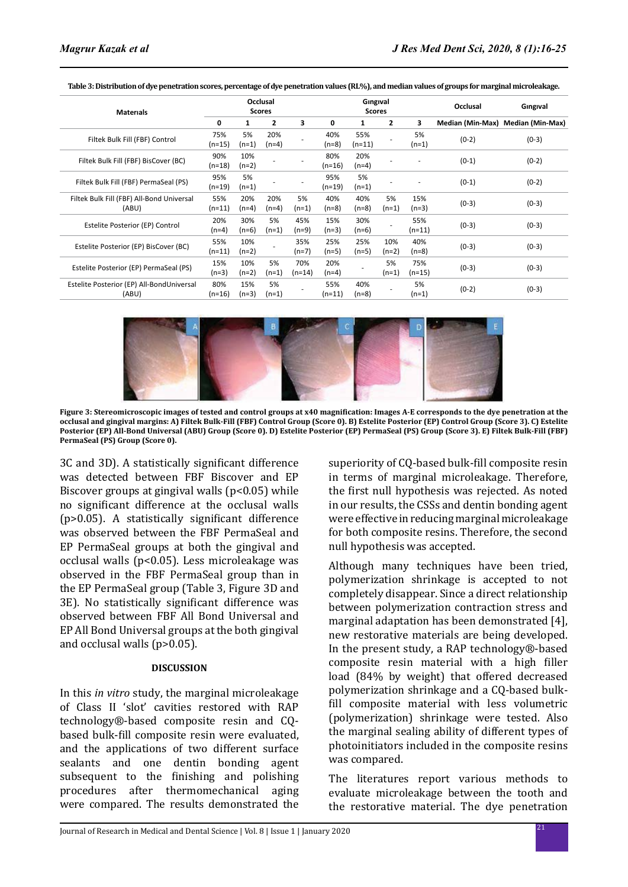| <b>Materials</b>                                   | Occlusal<br><b>Scores</b> |                |                | Gingival<br><b>Scores</b> |                 |                |                | Occlusal        | Gingival |                                   |
|----------------------------------------------------|---------------------------|----------------|----------------|---------------------------|-----------------|----------------|----------------|-----------------|----------|-----------------------------------|
|                                                    | 0                         | 1              | $\overline{2}$ | 3                         | 0               | 1              | $\overline{2}$ | 3               |          | Median (Min-Max) Median (Min-Max) |
| Filtek Bulk Fill (FBF) Control                     | 75%<br>$(n=15)$           | 5%<br>(n=1)    | 20%<br>$(n=4)$ |                           | 40%<br>$(n=8)$  | 55%<br>(n=11)  |                | 5%<br>$(n=1)$   | $(0-2)$  | $(0-3)$                           |
| Filtek Bulk Fill (FBF) BisCover (BC)               | 90%<br>$(n=18)$           | 10%<br>(n=2)   |                |                           | 80%<br>$(n=16)$ | 20%<br>$(n=4)$ |                |                 | $(0-1)$  | $(0-2)$                           |
| Filtek Bulk Fill (FBF) PermaSeal (PS)              | 95%<br>$(n=19)$           | 5%<br>$(n=1)$  |                |                           | 95%<br>(n=19)   | 5%<br>$(n=1)$  |                |                 | $(0-1)$  | $(0-2)$                           |
| Filtek Bulk Fill (FBF) All-Bond Universal<br>(ABU) | 55%<br>$(n=11)$           | 20%<br>$(n=4)$ | 20%<br>$(n=4)$ | 5%<br>$(n=1)$             | 40%<br>$(n=8)$  | 40%<br>$(n=8)$ | 5%<br>$(n=1)$  | 15%<br>$(n=3)$  | $(0-3)$  | $(0-3)$                           |
| Estelite Posterior (EP) Control                    | 20%<br>$(n=4)$            | 30%<br>$(n=6)$ | 5%<br>$(n=1)$  | 45%<br>$(n=9)$            | 15%<br>$(n=3)$  | 30%<br>$(n=6)$ |                | 55%<br>$(n=11)$ | $(0-3)$  | $(0-3)$                           |
| Estelite Posterior (EP) BisCover (BC)              | 55%<br>$(n=11)$           | 10%<br>$(n=2)$ |                | 35%<br>$(n=7)$            | 25%<br>$(n=5)$  | 25%<br>$(n=5)$ | 10%<br>$(n=2)$ | 40%<br>$(n=8)$  | $(0-3)$  | $(0-3)$                           |
| Estelite Posterior (EP) PermaSeal (PS)             | 15%<br>$(n=3)$            | 10%<br>$(n=2)$ | 5%<br>$(n=1)$  | 70%<br>$(n=14)$           | 20%<br>$(n=4)$  |                | 5%<br>$(n=1)$  | 75%<br>$(n=15)$ | $(0-3)$  | $(0-3)$                           |
| Estelite Posterior (EP) All-BondUniversal<br>(ABU) | 80%<br>$(n=16)$           | 15%<br>$(n=3)$ | 5%<br>$(n=1)$  |                           | 55%<br>$(n=11)$ | 40%<br>$(n=8)$ |                | 5%<br>$(n=1)$   | $(0-2)$  | $(0-3)$                           |

**Table 3: Distribution of dye penetration scores, percentage of dye penetration values (RL%), and median values of groups for marginal microleakage.**



**Figure 3: Stereomicroscopic images of tested and control groups at x40 magnification: Images A-E corresponds to the dye penetration at the occlusal and gingival margins: A) Filtek Bulk-Fill (FBF) Control Group (Score 0). B) Estelite Posterior (EP) Control Group (Score 3). C) Estelite Posterior (EP) All-Bond Universal (ABU) Group (Score 0). D) Estelite Posterior (EP) PermaSeal (PS) Group (Score 3). E) Filtek Bulk-Fill (FBF) PermaSeal (PS) Group (Score 0).**

3C and 3D). A statistically significant difference was detected between FBF Biscover and EP Biscover groups at gingival walls (p<0.05) while no significant difference at the occlusal walls (p>0.05). A statistically significant difference was observed between the FBF PermaSeal and EP PermaSeal groups at both the gingival and occlusal walls (p<0.05). Less microleakage was observed in the FBF PermaSeal group than in the EP PermaSeal group (Table 3, Figure 3D and 3E). No statistically significant difference was observed between FBF All Bond Universal and EP All Bond Universal groups at the both gingival and occlusal walls (p>0.05).

### **DISCUSSION**

In this *in vitro* study, the marginal microleakage of Class II 'slot' cavities restored with RAP technology®-based composite resin and CQbased bulk-fill composite resin were evaluated, and the applications of two different surface sealants and one dentin bonding agent subsequent to the finishing and polishing procedures after thermomechanical aging were compared. The results demonstrated the superiority of CQ-based bulk-fill composite resin in terms of marginal microleakage. Therefore, the first null hypothesis was rejected. As noted in our results, the CSSs and dentin bonding agent were effective in reducing marginal microleakage for both composite resins. Therefore, the second null hypothesis was accepted.

Although many techniques have been tried, polymerization shrinkage is accepted to not completely disappear. Since a direct relationship between polymerization contraction stress and marginal adaptation has been demonstrated [4], new restorative materials are being developed. In the present study, a RAP technology®-based composite resin material with a high filler load (84% by weight) that offered decreased polymerization shrinkage and a CQ-based bulkfill composite material with less volumetric (polymerization) shrinkage were tested. Also the marginal sealing ability of different types of photoinitiators included in the composite resins was compared.

The literatures report various methods to evaluate microleakage between the tooth and the restorative material. The dye penetration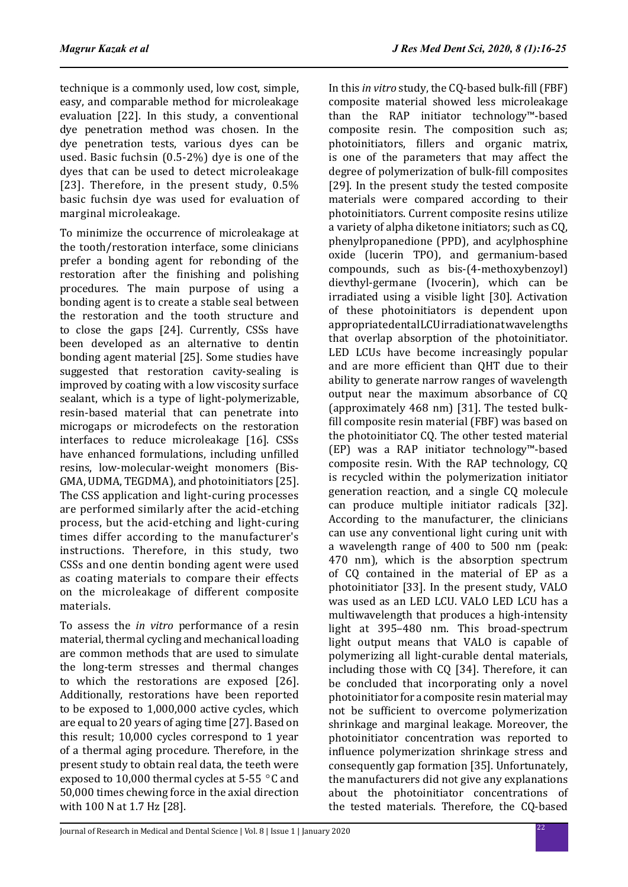technique is a commonly used, low cost, simple, easy, and comparable method for microleakage evaluation [22]. In this study, a conventional dye penetration method was chosen. In the dye penetration tests, various dyes can be used. Basic fuchsin (0.5-2%) dye is one of the dyes that can be used to detect microleakage [23]. Therefore, in the present study,  $0.5\%$ basic fuchsin dye was used for evaluation of marginal microleakage.

To minimize the occurrence of microleakage at the tooth/restoration interface, some clinicians prefer a bonding agent for rebonding of the restoration after the finishing and polishing procedures. The main purpose of using a bonding agent is to create a stable seal between the restoration and the tooth structure and to close the gaps [24]. Currently, CSSs have been developed as an alternative to dentin bonding agent material [25]. Some studies have suggested that restoration cavity-sealing is improved by coating with a low viscosity surface sealant, which is a type of light-polymerizable, resin-based material that can penetrate into microgaps or microdefects on the restoration interfaces to reduce microleakage [16]. CSSs have enhanced formulations, including unfilled resins, low-molecular-weight monomers (Bis-GMA, UDMA, TEGDMA), and photoinitiators [25]. The CSS application and light-curing processes are performed similarly after the acid-etching process, but the acid-etching and light-curing times differ according to the manufacturer's instructions. Therefore, in this study, two CSSs and one dentin bonding agent were used as coating materials to compare their effects on the microleakage of different composite materials.

To assess the *in vitro* performance of a resin material, thermal cycling and mechanical loading are common methods that are used to simulate the long-term stresses and thermal changes to which the restorations are exposed [26]. Additionally, restorations have been reported to be exposed to 1,000,000 active cycles, which are equal to 20 years of aging time [27]. Based on this result; 10,000 cycles correspond to 1 year of a thermal aging procedure. Therefore, in the present study to obtain real data, the teeth were exposed to 10,000 thermal cycles at 5-55  $\degree$ C and 50,000 times chewing force in the axial direction with 100 N at 1.7 Hz [28].

In this *in vitro* study, the CQ-based bulk-fill (FBF) composite material showed less microleakage than the RAP initiator technology™-based composite resin. The composition such as; photoinitiators, fillers and organic matrix, is one of the parameters that may affect the degree of polymerization of bulk-fill composites [29]. In the present study the tested composite materials were compared according to their photoinitiators. Current composite resins utilize a variety of alpha diketone initiators; such as CQ, phenylpropanedione (PPD), and acylphosphine oxide (lucerin TPO), and germanium-based compounds, such as bis-(4-methoxybenzoyl) dievthyl-germane (Ivocerin), which can be irradiated using a visible light [30]. Activation of these photoinitiators is dependent upon appropriate dental LCU irradiation at wavelengths that overlap absorption of the photoinitiator. LED LCUs have become increasingly popular and are more efficient than QHT due to their ability to generate narrow ranges of wavelength output near the maximum absorbance of CQ (approximately 468 nm) [31]. The tested bulkfill composite resin material (FBF) was based on the photoinitiator CQ. The other tested material (EP) was a RAP initiator technology™-based composite resin. With the RAP technology, CQ is recycled within the polymerization initiator generation reaction, and a single CQ molecule can produce multiple initiator radicals [32]. According to the manufacturer, the clinicians can use any conventional light curing unit with a wavelength range of 400 to 500 nm (peak: 470 nm), which is the absorption spectrum of CQ contained in the material of EP as a photoinitiator [33]. In the present study, VALO was used as an LED LCU. VALO LED LCU has a multiwavelength that produces a high-intensity light at 395–480 nm. This broad-spectrum light output means that VALO is capable of polymerizing all light-curable dental materials, including those with CQ [34]. Therefore, it can be concluded that incorporating only a novel photoinitiator for a composite resin material may not be sufficient to overcome polymerization shrinkage and marginal leakage. Moreover, the photoinitiator concentration was reported to influence polymerization shrinkage stress and consequently gap formation [35]. Unfortunately, the manufacturers did not give any explanations about the photoinitiator concentrations of the tested materials. Therefore, the CQ-based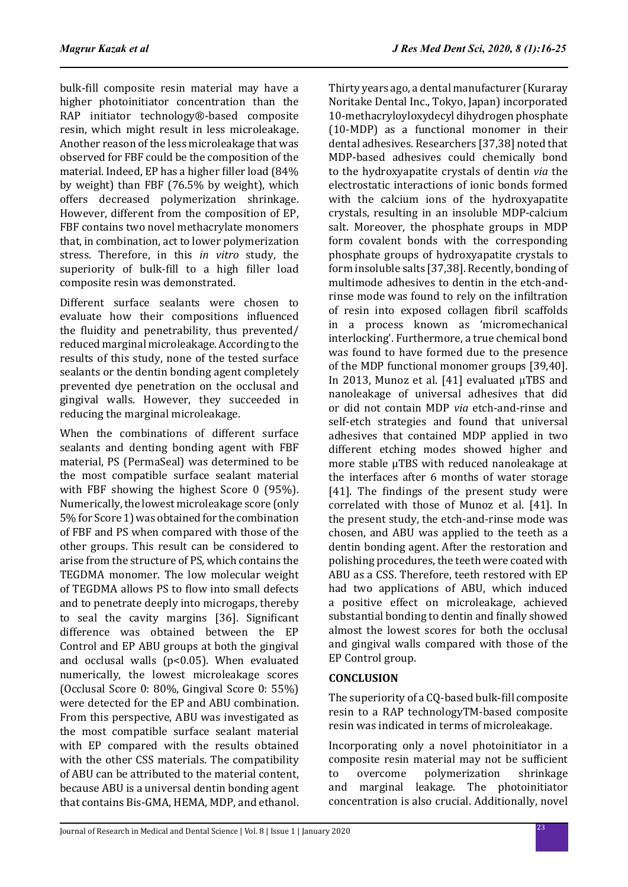bulk-fill composite resin material may have a higher photoinitiator concentration than the RAP initiator technology®-based composite resin, which might result in less microleakage. Another reason of the less microleakage that was observed for FBF could be the composition of the material. Indeed, EP has a higher filler load (84% by weight) than FBF (76.5% by weight), which offers decreased polymerization shrinkage. However, different from the composition of EP, FBF contains two novel methacrylate monomers that, in combination, act to lower polymerization stress. Therefore, in this *in vitro* study, the superiority of bulk-fill to a high filler load composite resin was demonstrated.

Different surface sealants were chosen to evaluate how their compositions influenced the fluidity and penetrability, thus prevented/ reduced marginal microleakage. According to the results of this study, none of the tested surface sealants or the dentin bonding agent completely prevented dye penetration on the occlusal and gingival walls. However, they succeeded in reducing the marginal microleakage.

When the combinations of different surface sealants and denting bonding agent with FBF material, PS (PermaSeal) was determined to be the most compatible surface sealant material with FBF showing the highest Score 0 (95%). Numerically, the lowest microleakage score (only 5% for Score 1) was obtained for the combination of FBF and PS when compared with those of the other groups. This result can be considered to arise from the structure of PS, which contains the TEGDMA monomer. The low molecular weight of TEGDMA allows PS to flow into small defects and to penetrate deeply into microgaps, thereby to seal the cavity margins [36]. Significant difference was obtained between the EP Control and EP ABU groups at both the gingival and occlusal walls ( $p$ <0.05). When evaluated numerically, the lowest microleakage scores (Occlusal Score 0: 80%, Gingival Score 0: 55%) were detected for the EP and ABU combination. From this perspective, ABU was investigated as the most compatible surface sealant material with EP compared with the results obtained with the other CSS materials. The compatibility of ABU can be attributed to the material content, because ABU is a universal dentin bonding agent that contains Bis-GMA, HEMA, MDP, and ethanol.

Thirty years ago, a dental manufacturer (Kuraray Noritake Dental Inc., Tokyo, Japan) incorporated 10-methacryloyloxydecyl dihydrogen phosphate (10-MDP) as a functional monomer in their dental adhesives. Researchers [37,38] noted that MDP-based adhesives could chemically bond to the hydroxyapatite crystals of dentin *via* the electrostatic interactions of ionic bonds formed with the calcium ions of the hydroxyapatite crystals, resulting in an insoluble MDP-calcium salt. Moreover, the phosphate groups in MDP form covalent bonds with the corresponding phosphate groups of hydroxyapatite crystals to form insoluble salts [37,38]. Recently, bonding of multimode adhesives to dentin in the etch-andrinse mode was found to rely on the infiltration of resin into exposed collagen fibril scaffolds in a process known as 'micromechanical interlocking'. Furthermore, a true chemical bond was found to have formed due to the presence of the MDP functional monomer groups [39,40]. In 2013, Munoz et al. [41] evaluated µTBS and nanoleakage of universal adhesives that did or did not contain MDP *via* etch-and-rinse and self-etch strategies and found that universal adhesives that contained MDP applied in two different etching modes showed higher and more stable µTBS with reduced nanoleakage at the interfaces after 6 months of water storage [41]. The findings of the present study were correlated with those of Munoz et al. [41]. In the present study, the etch-and-rinse mode was chosen, and ABU was applied to the teeth as a dentin bonding agent. After the restoration and polishing procedures, the teeth were coated with ABU as a CSS. Therefore, teeth restored with EP had two applications of ABU, which induced a positive effect on microleakage, achieved substantial bonding to dentin and finally showed almost the lowest scores for both the occlusal and gingival walls compared with those of the EP Control group.

## **CONCLUSION**

The superiority of a CQ-based bulk-fill composite resin to a RAP technologyTM-based composite resin was indicated in terms of microleakage.

Incorporating only a novel photoinitiator in a composite resin material may not be sufficient<br>to overcome polymerization shrinkage to overcome polymerization shrinkage<br>and marginal leakage. The photoinitiator marginal leakage. The photoinitiator concentration is also crucial. Additionally, novel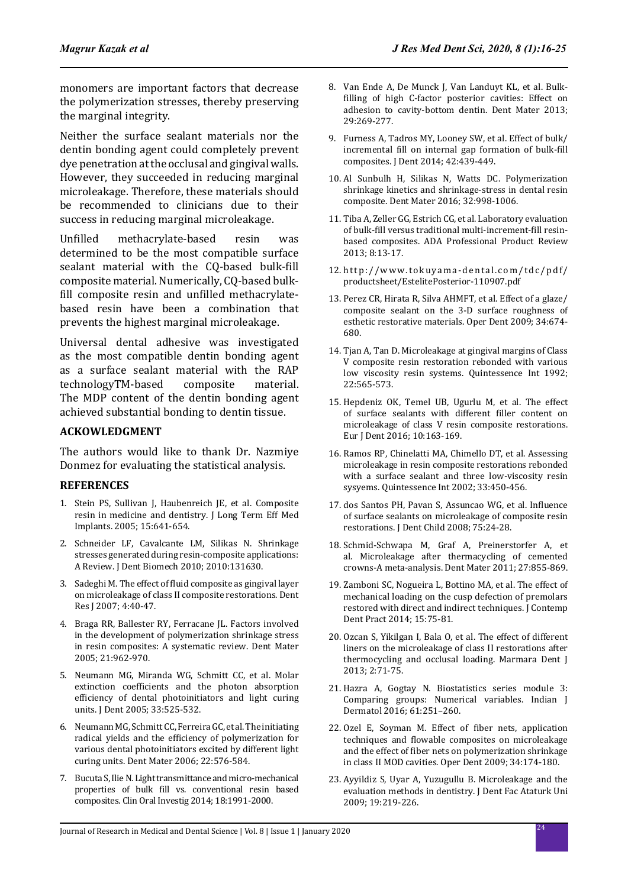monomers are important factors that decrease the polymerization stresses, thereby preserving the marginal integrity.

Neither the surface sealant materials nor the dentin bonding agent could completely prevent dye penetration at the occlusal and gingival walls. However, they succeeded in reducing marginal microleakage. Therefore, these materials should be recommended to clinicians due to their success in reducing marginal microleakage.

Unfilled methacrylate-based resin was determined to be the most compatible surface sealant material with the CQ-based bulk-fill composite material. Numerically, CQ-based bulkfill composite resin and unfilled methacrylatebased resin have been a combination that prevents the highest marginal microleakage.

Universal dental adhesive was investigated as the most compatible dentin bonding agent as a surface sealant material with the RAP technologyTM-based composite material. technologyTM-based The MDP content of the dentin bonding agent achieved substantial bonding to dentin tissue.

## **ACKOWLEDGMENT**

The authors would like to thank Dr. Nazmiye Donmez for evaluating the statistical analysis.

## **REFERENCES**

- 1. Stein PS, Sullivan J, Haubenreich JE, et al. Composite resin in medicine and dentistry. J Long Term Eff Med Implants. 2005; 15:641-654.
- 2. Schneider LF, Cavalcante LM, Silikas N. Shrinkage stresses generated during resin-composite applications: A Review. J Dent Biomech 2010; 2010:131630.
- 3. Sadeghi M. The effect of fluid composite as gingival layer on microleakage of class II composite restorations. Dent Res J 2007; 4:40-47.
- 4. Braga RR, Ballester RY, Ferracane JL. Factors involved in the development of polymerization shrinkage stress in resin composites: A systematic review. Dent Mater 2005; 21:962-970.
- 5. Neumann MG, Miranda WG, Schmitt CC, et al. Molar extinction coefficients and the photon absorption efficiency of dental photoinitiators and light curing units. J Dent 2005; 33:525-532.
- 6. Neumann MG, Schmitt CC, Ferreira GC, et al. The initiating radical yields and the efficiency of polymerization for various dental photoinitiators excited by different light curing units. Dent Mater 2006; 22:576-584.
- 7. Bucuta S, Ilie N. Light transmittance and micro-mechanical properties of bulk fill vs. conventional resin based composites. Clin Oral Investig 2014; 18:1991-2000.
- 8. Van Ende A, De Munck J, Van Landuyt KL, et al. Bulkfilling of high C-factor posterior cavities: Effect on adhesion to cavity-bottom dentin. Dent Mater 2013; 29:269-277.
- 9. Furness A, Tadros MY, Looney SW, et al. Effect of bulk/ incremental fill on internal gap formation of bulk-fill composites. J Dent 2014; 42:439-449.
- 10. Al Sunbulh H, Silikas N, Watts DC. Polymerization shrinkage kinetics and shrinkage-stress in dental resin composite. Dent Mater 2016; 32:998-1006.
- 11. Tiba A, Zeller GG, Estrich CG, et al. Laboratory evaluation of bulk-fill versus traditional multi-increment-fill resinbased composites. ADA Professional Product Review 2013; 8:13-17.
- 12. http://www.tokuyama-dental.com/tdc/pdf/ productsheet/EstelitePosterior-110907.pdf
- 13. Perez CR, Hirata R, Silva AHMFT, et al. Effect of a glaze/ composite sealant on the 3-D surface roughness of esthetic restorative materials. Oper Dent 2009; 34:674- 680.
- 14. Tjan A, Tan D. Microleakage at gingival margins of Class V composite resin restoration rebonded with various low viscosity resin systems. Quintessence Int 1992; 22:565-573.
- 15. Hepdeniz OK, Temel UB, Ugurlu M, et al. The effect of surface sealants with different filler content on microleakage of class V resin composite restorations. Eur J Dent 2016; 10:163-169.
- 16. Ramos RP, Chinelatti MA, Chimello DT, et al. Assessing microleakage in resin composite restorations rebonded with a surface sealant and three low-viscosity resin sysyems. Quintessence Int 2002; 33:450-456.
- 17. dos Santos PH, Pavan S, Assuncao WG, et al. Influence of surface sealants on microleakage of composite resin restorations. J Dent Child 2008; 75:24-28.
- 18. Schmid-Schwapa M, Graf A, Preinerstorfer A, et al. Microleakage after thermacycling of cemented crowns-A meta-analysis. Dent Mater 2011; 27:855-869.
- 19. Zamboni SC, Nogueira L, Bottino MA, et al. The effect of mechanical loading on the cusp defection of premolars restored with direct and indirect techniques. J Contemp Dent Pract 2014; 15:75-81.
- 20. Ozcan S, Yikilgan I, Bala O, et al. The effect of different liners on the microleakage of class II restorations after thermocycling and occlusal loading. Marmara Dent J 2013; 2:71-75.
- 21. Hazra A, Gogtay N. Biostatistics series module 3: Comparing groups: Numerical variables. Indian J Dermatol 2016; 61:251–260.
- 22. Ozel E, Soyman M. Effect of fiber nets, application techniques and flowable composites on microleakage and the effect of fiber nets on polymerization shrinkage in class II MOD cavities. Oper Dent 2009; 34:174-180.
- 23. Ayyildiz S, Uyar A, Yuzugullu B. Microleakage and the evaluation methods in dentistry. J Dent Fac Ataturk Uni 2009; 19:219-226.